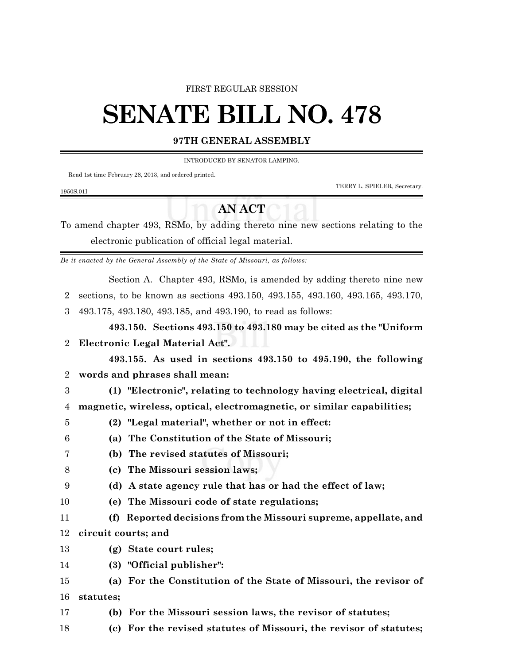## FIRST REGULAR SESSION

## **SENATE BILL NO. 478**

## **97TH GENERAL ASSEMBLY**

INTRODUCED BY SENATOR LAMPING.

Read 1st time February 28, 2013, and ordered printed.

1950S.01I

TERRY L. SPIELER, Secretary.

## **AN ACT**

To amend chapter 493, RSMo, by adding thereto nine new sections relating to the electronic publication of official legal material.

*Be it enacted by the General Assembly of the State of Missouri, as follows:*

Section A. Chapter 493, RSMo, is amended by adding thereto nine new

2 sections, to be known as sections 493.150, 493.155, 493.160, 493.165, 493.170,

3 493.175, 493.180, 493.185, and 493.190, to read as follows:

**493.150. Sections 493.150 to 493.180 may be cited as the "Uniform** 2 **Electronic Legal Material Act".**

**493.155. As used in sections 493.150 to 495.190, the following** 2 **words and phrases shall mean:**

3 **(1) "Electronic", relating to technology having electrical, digital**

4 **magnetic, wireless, optical, electromagnetic, or similar capabilities;**

- 5 **(2) "Legal material", whether or not in effect:**
- 6 **(a) The Constitution of the State of Missouri;**
- 7 **(b) The revised statutes of Missouri;**
- 8 **(c) The Missouri session laws;**
- 9 **(d) A state agency rule that has or had the effect of law;**
- 10 **(e) The Missouri code of state regulations;**
- 11 **(f) Reported decisions from the Missouri supreme, appellate, and** 12 **circuit courts; and**
- 13 **(g) State court rules;**
- 14 **(3) "Official publisher":**
- 15 **(a) For the Constitution of the State of Missouri, the revisor of** 16 **statutes;**
- 17 **(b) For the Missouri session laws, the revisor of statutes;**
- 18 **(c) For the revised statutes of Missouri, the revisor of statutes;**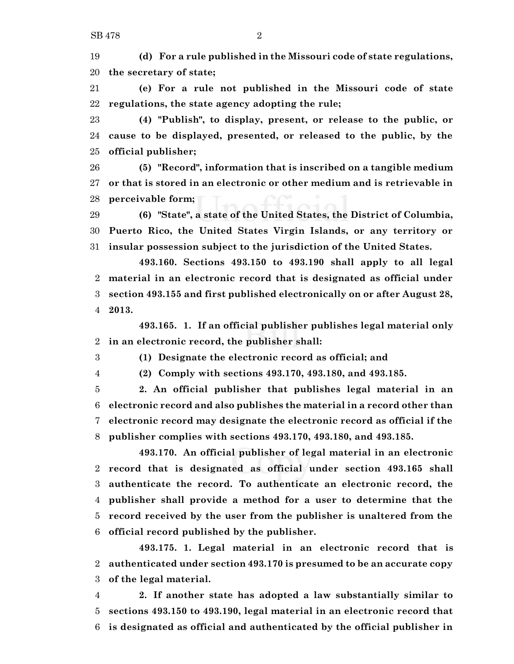**(d) For a rule published in the Missouri code of state regulations, the secretary of state;**

 **(e) For a rule not published in the Missouri code of state regulations, the state agency adopting the rule;**

 **(4) "Publish", to display, present, or release to the public, or cause to be displayed, presented, or released to the public, by the official publisher;**

 **(5) "Record", information that is inscribed on a tangible medium or that is stored in an electronic or other medium and is retrievable in perceivable form;**

 **(6) "State", a state of the United States, the District of Columbia, Puerto Rico, the United States Virgin Islands, or any territory or insular possession subject to the jurisdiction of the United States.**

**493.160. Sections 493.150 to 493.190 shall apply to all legal material in an electronic record that is designated as official under section 493.155 and first published electronically on or after August 28, 2013.**

**493.165. 1. If an official publisher publishes legal material only in an electronic record, the publisher shall:**

**(1) Designate the electronic record as official; and**

**(2) Comply with sections 493.170, 493.180, and 493.185.**

 **2. An official publisher that publishes legal material in an electronic record and also publishes the material in a record other than electronic record may designate the electronic record as official if the publisher complies with sections 493.170, 493.180, and 493.185.**

**493.170. An official publisher of legal material in an electronic record that is designated as official under section 493.165 shall authenticate the record. To authenticate an electronic record, the publisher shall provide a method for a user to determine that the record received by the user from the publisher is unaltered from the official record published by the publisher.**

**493.175. 1. Legal material in an electronic record that is authenticated under section 493.170 is presumed to be an accurate copy of the legal material.**

 **2. If another state has adopted a law substantially similar to sections 493.150 to 493.190, legal material in an electronic record that is designated as official and authenticated by the official publisher in**